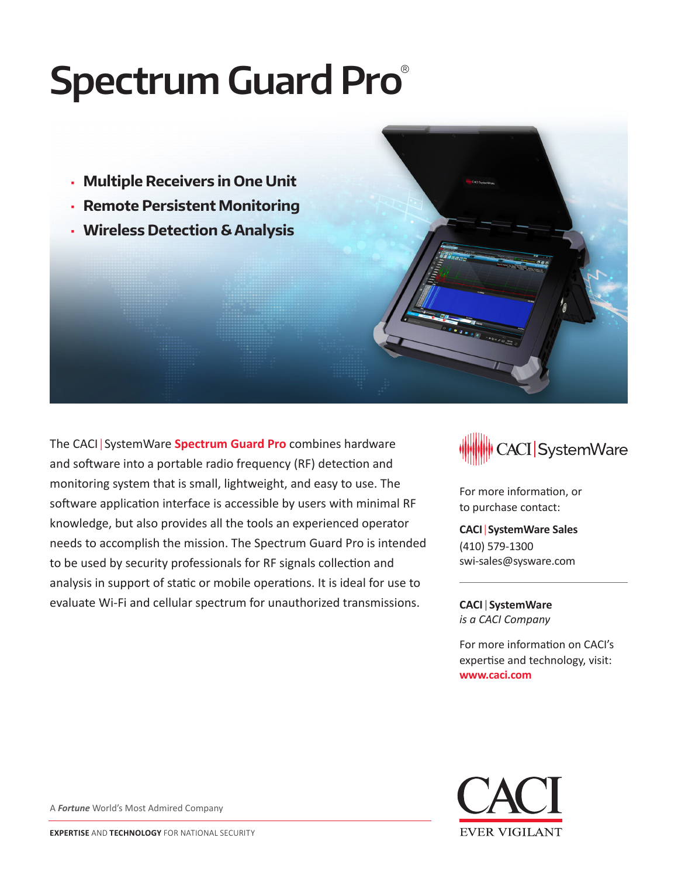# **Spectrum Guard Pro**®

- **Multiple Receivers in One Unit**
- **Remote Persistent Monitoring**
- **Wireless Detection & Analysis**

The CACI|SystemWare **Spectrum Guard Pro** combines hardware and software into a portable radio frequency (RF) detection and monitoring system that is small, lightweight, and easy to use. The software application interface is accessible by users with minimal RF knowledge, but also provides all the tools an experienced operator needs to accomplish the mission. The Spectrum Guard Pro is intended to be used by security professionals for RF signals collection and analysis in support of static or mobile operations. It is ideal for use to evaluate Wi-Fi and cellular spectrum for unauthorized transmissions.



For more information, or to purchase contact:

**CACI**|**SystemWare Sales** (410) 579-1300 swi-sales@sysware.com

**CACI**|**SystemWare** *is a CACI Company*

For more information on CACI's expertise and technology, visit: **www.caci.com**



A *Fortune* World's Most Admired Company